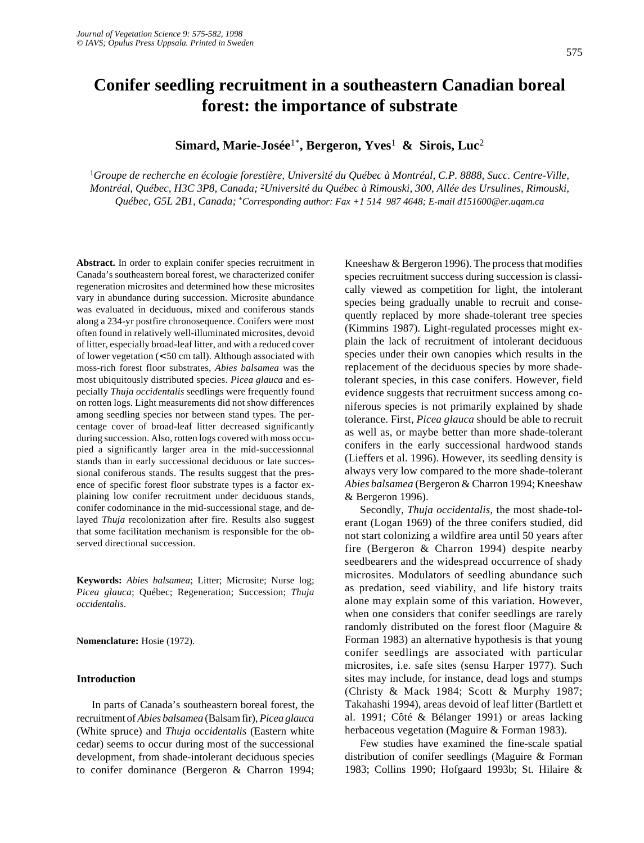# **Conifer seedling recruitment in a southeastern Canadian boreal forest: the importance of substrate**

# **Simard, Marie-Josée**1\***, Bergeron, Yves**1 **& Sirois, Luc**<sup>2</sup>

<sup>1</sup>*Groupe de recherche en écologie forestière, Université du Québec à Montréal, C.P. 8888, Succ. Centre-Ville, Montréal, Québec, H3C 3P8, Canada;* <sup>2</sup>*Université du Québec à Rimouski, 300, Allée des Ursulines, Rimouski, Québec, G5L 2B1, Canada;* \**Corresponding author: Fax +1 514 987 4648; E-mail d151600@er.uqam.ca*

**Abstract.** In order to explain conifer species recruitment in Canada's southeastern boreal forest, we characterized conifer regeneration microsites and determined how these microsites vary in abundance during succession. Microsite abundance was evaluated in deciduous, mixed and coniferous stands along a 234-yr postfire chronosequence. Conifers were most often found in relatively well-illuminated microsites, devoid of litter, especially broad-leaf litter, and with a reduced cover of lower vegetation (< 50 cm tall). Although associated with moss-rich forest floor substrates, *Abies balsamea* was the most ubiquitously distributed species. *Picea glauca* and especially *Thuja occidentalis* seedlings were frequently found on rotten logs. Light measurements did not show differences among seedling species nor between stand types. The percentage cover of broad-leaf litter decreased significantly during succession. Also, rotten logs covered with moss occupied a significantly larger area in the mid-successionnal stands than in early successional deciduous or late successional coniferous stands. The results suggest that the presence of specific forest floor substrate types is a factor explaining low conifer recruitment under deciduous stands, conifer codominance in the mid-successional stage, and delayed *Thuja* recolonization after fire. Results also suggest that some facilitation mechanism is responsible for the observed directional succession.

**Keywords:** *Abies balsamea*; Litter; Microsite; Nurse log; *Picea glauca*; Québec; Regeneration; Succession; *Thuja occidentalis*.

**Nomenclature:** Hosie (1972).

# **Introduction**

In parts of Canada's southeastern boreal forest, the recruitment of *Abies balsamea* (Balsam fir), *Picea glauca* (White spruce) and *Thuja occidentalis* (Eastern white cedar) seems to occur during most of the successional development, from shade-intolerant deciduous species to conifer dominance (Bergeron & Charron 1994;

Kneeshaw & Bergeron 1996). The process that modifies species recruitment success during succession is classically viewed as competition for light, the intolerant species being gradually unable to recruit and consequently replaced by more shade-tolerant tree species (Kimmins 1987). Light-regulated processes might explain the lack of recruitment of intolerant deciduous species under their own canopies which results in the replacement of the deciduous species by more shadetolerant species, in this case conifers. However, field evidence suggests that recruitment success among coniferous species is not primarily explained by shade tolerance. First, *Picea glauca* should be able to recruit as well as, or maybe better than more shade-tolerant conifers in the early successional hardwood stands (Lieffers et al. 1996). However, its seedling density is always very low compared to the more shade-tolerant *Abies balsamea* (Bergeron & Charron 1994; Kneeshaw & Bergeron 1996).

Secondly, *Thuja occidentalis*, the most shade-tolerant (Logan 1969) of the three conifers studied, did not start colonizing a wildfire area until 50 years after fire (Bergeron & Charron 1994) despite nearby seedbearers and the widespread occurrence of shady microsites. Modulators of seedling abundance such as predation, seed viability, and life history traits alone may explain some of this variation. However, when one considers that conifer seedlings are rarely randomly distributed on the forest floor (Maguire & Forman 1983) an alternative hypothesis is that young conifer seedlings are associated with particular microsites, i.e. safe sites (sensu Harper 1977). Such sites may include, for instance, dead logs and stumps (Christy & Mack 1984; Scott & Murphy 1987; Takahashi 1994), areas devoid of leaf litter (Bartlett et al. 1991; Côté & Bélanger 1991) or areas lacking herbaceous vegetation (Maguire & Forman 1983).

Few studies have examined the fine-scale spatial distribution of conifer seedlings (Maguire & Forman 1983; Collins 1990; Hofgaard 1993b; St. Hilaire &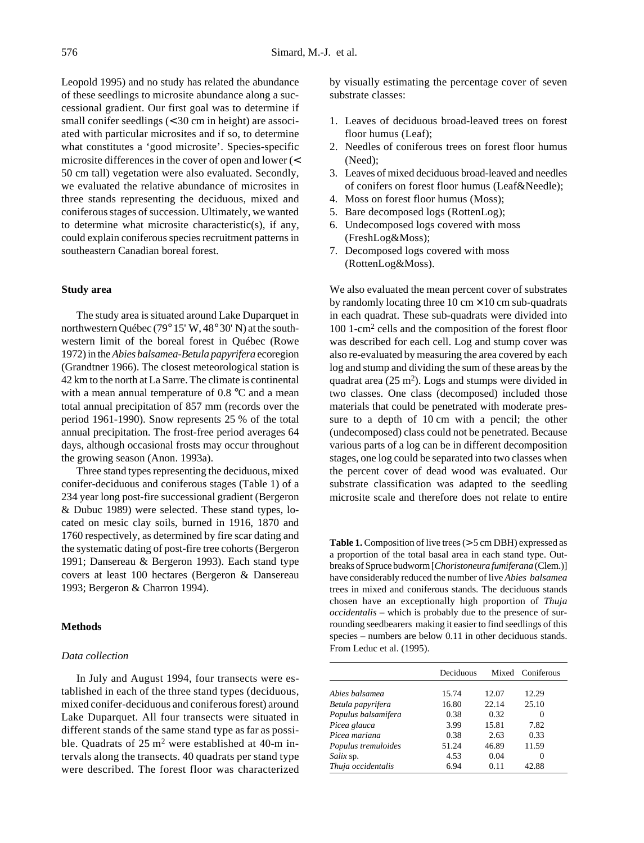Leopold 1995) and no study has related the abundance of these seedlings to microsite abundance along a successional gradient. Our first goal was to determine if small conifer seedlings (< 30 cm in height) are associated with particular microsites and if so, to determine what constitutes a 'good microsite'. Species-specific microsite differences in the cover of open and lower (< 50 cm tall) vegetation were also evaluated. Secondly, we evaluated the relative abundance of microsites in three stands representing the deciduous, mixed and coniferous stages of succession. Ultimately, we wanted to determine what microsite characteristic(s), if any, could explain coniferous species recruitment patterns in southeastern Canadian boreal forest.

## **Study area**

The study area is situated around Lake Duparquet in northwestern Québec (79° 15' W, 48° 30' N) at the southwestern limit of the boreal forest in Québec (Rowe 1972) in the *Abies balsamea*-*Betula papyrifera* ecoregion (Grandtner 1966). The closest meteorological station is 42 km to the north at La Sarre. The climate is continental with a mean annual temperature of 0.8 °C and a mean total annual precipitation of 857 mm (records over the period 1961-1990). Snow represents 25 % of the total annual precipitation. The frost-free period averages 64 days, although occasional frosts may occur throughout the growing season (Anon. 1993a).

Three stand types representing the deciduous, mixed conifer-deciduous and coniferous stages (Table 1) of a 234 year long post-fire successional gradient (Bergeron & Dubuc 1989) were selected. These stand types, located on mesic clay soils, burned in 1916, 1870 and 1760 respectively, as determined by fire scar dating and the systematic dating of post-fire tree cohorts (Bergeron 1991; Dansereau & Bergeron 1993). Each stand type covers at least 100 hectares (Bergeron & Dansereau 1993; Bergeron & Charron 1994).

# **Methods**

#### *Data collection*

In July and August 1994, four transects were established in each of the three stand types (deciduous, mixed conifer-deciduous and coniferous forest) around Lake Duparquet. All four transects were situated in different stands of the same stand type as far as possible. Quadrats of  $25 \text{ m}^2$  were established at 40-m intervals along the transects. 40 quadrats per stand type were described. The forest floor was characterized

by visually estimating the percentage cover of seven substrate classes:

- 1. Leaves of deciduous broad-leaved trees on forest floor humus (Leaf);
- 2. Needles of coniferous trees on forest floor humus (Need);
- 3. Leaves of mixed deciduous broad-leaved and needles of conifers on forest floor humus (Leaf&Needle);
- 4. Moss on forest floor humus (Moss);
- 5. Bare decomposed logs (RottenLog);
- 6. Undecomposed logs covered with moss (FreshLog&Moss);
- 7. Decomposed logs covered with moss (RottenLog&Moss).

We also evaluated the mean percent cover of substrates by randomly locating three 10 cm  $\times$  10 cm sub-quadrats in each quadrat. These sub-quadrats were divided into 100 1-cm2 cells and the composition of the forest floor was described for each cell. Log and stump cover was also re-evaluated by measuring the area covered by each log and stump and dividing the sum of these areas by the quadrat area  $(25 \text{ m}^2)$ . Logs and stumps were divided in two classes. One class (decomposed) included those materials that could be penetrated with moderate pressure to a depth of 10 cm with a pencil; the other (undecomposed) class could not be penetrated. Because various parts of a log can be in different decomposition stages, one log could be separated into two classes when the percent cover of dead wood was evaluated. Our substrate classification was adapted to the seedling microsite scale and therefore does not relate to entire

**Table 1.** Composition of live trees (> 5 cm DBH) expressed as a proportion of the total basal area in each stand type. Outbreaks of Spruce budworm [*Choristoneura fumiferana* (Clem.)] have considerably reduced the number of live *Abies balsamea* trees in mixed and coniferous stands. The deciduous stands chosen have an exceptionally high proportion of *Thuja occidentalis* – which is probably due to the presence of surrounding seedbearers making it easier to find seedlings of this species – numbers are below 0.11 in other deciduous stands. From Leduc et al. (1995).

|                     | Deciduous |       | Mixed Coniferous |
|---------------------|-----------|-------|------------------|
| Abies balsamea      | 15.74     | 12.07 | 12.29            |
| Betula papyrifera   | 16.80     | 22.14 | 25.10            |
| Populus balsamifera | 0.38      | 0.32  | $\Omega$         |
| Picea glauca        | 3.99      | 15.81 | 7.82             |
| Picea mariana       | 0.38      | 2.63  | 0.33             |
| Populus tremuloides | 51.24     | 46.89 | 11.59            |
| <i>Salix</i> sp.    | 4.53      | 0.04  | 0                |
| Thuja occidentalis  | 6.94      | 0.11  | 42.88            |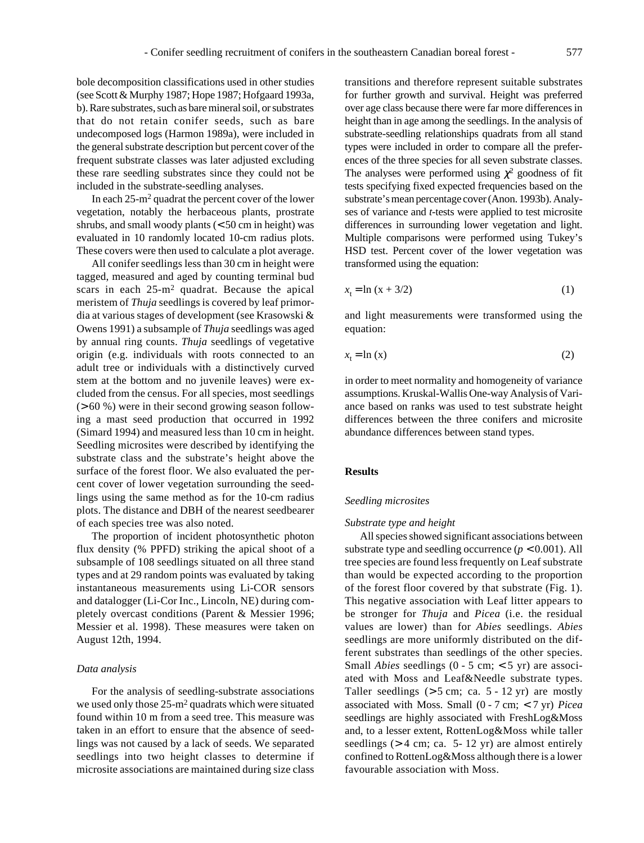bole decomposition classifications used in other studies (see Scott & Murphy 1987; Hope 1987; Hofgaard 1993a, b). Rare substrates, such as bare mineral soil, or substrates that do not retain conifer seeds, such as bare undecomposed logs (Harmon 1989a), were included in the general substrate description but percent cover of the frequent substrate classes was later adjusted excluding these rare seedling substrates since they could not be included in the substrate-seedling analyses.

In each 25-m2 quadrat the percent cover of the lower vegetation, notably the herbaceous plants, prostrate shrubs, and small woody plants (< 50 cm in height) was evaluated in 10 randomly located 10-cm radius plots. These covers were then used to calculate a plot average.

All conifer seedlings less than 30 cm in height were tagged, measured and aged by counting terminal bud scars in each 25-m2 quadrat. Because the apical meristem of *Thuja* seedlings is covered by leaf primordia at various stages of development (see Krasowski & Owens 1991) a subsample of *Thuja* seedlings was aged by annual ring counts. *Thuja* seedlings of vegetative origin (e.g. individuals with roots connected to an adult tree or individuals with a distinctively curved stem at the bottom and no juvenile leaves) were excluded from the census. For all species, most seedlings  $(> 60 \%)$  were in their second growing season following a mast seed production that occurred in 1992 (Simard 1994) and measured less than 10 cm in height. Seedling microsites were described by identifying the substrate class and the substrate's height above the surface of the forest floor. We also evaluated the percent cover of lower vegetation surrounding the seedlings using the same method as for the 10-cm radius plots. The distance and DBH of the nearest seedbearer of each species tree was also noted.

The proportion of incident photosynthetic photon flux density (% PPFD) striking the apical shoot of a subsample of 108 seedlings situated on all three stand types and at 29 random points was evaluated by taking instantaneous measurements using Li-COR sensors and datalogger (Li-Cor Inc., Lincoln, NE) during completely overcast conditions (Parent & Messier 1996; Messier et al. 1998). These measures were taken on August 12th, 1994.

# *Data analysis*

For the analysis of seedling-substrate associations we used only those 25-m2 quadrats which were situated found within 10 m from a seed tree. This measure was taken in an effort to ensure that the absence of seedlings was not caused by a lack of seeds. We separated seedlings into two height classes to determine if microsite associations are maintained during size class

transitions and therefore represent suitable substrates for further growth and survival. Height was preferred over age class because there were far more differences in height than in age among the seedlings. In the analysis of substrate-seedling relationships quadrats from all stand types were included in order to compare all the preferences of the three species for all seven substrate classes. The analyses were performed using  $\chi^2$  goodness of fit tests specifying fixed expected frequencies based on the substrate's mean percentage cover (Anon. 1993b). Analyses of variance and *t*-tests were applied to test microsite differences in surrounding lower vegetation and light. Multiple comparisons were performed using Tukey's HSD test. Percent cover of the lower vegetation was transformed using the equation:

$$
xt = \ln(x + 3/2)
$$
 (1)

and light measurements were transformed using the equation:

$$
x_{t} = \ln(x) \tag{2}
$$

in order to meet normality and homogeneity of variance assumptions. Kruskal-Wallis One-way Analysis of Variance based on ranks was used to test substrate height differences between the three conifers and microsite abundance differences between stand types.

#### **Results**

## *Seedling microsites*

#### *Substrate type and height*

All species showed significant associations between substrate type and seedling occurrence  $(p < 0.001)$ . All tree species are found less frequently on Leaf substrate than would be expected according to the proportion of the forest floor covered by that substrate (Fig. 1). This negative association with Leaf litter appears to be stronger for *Thuja* and *Picea* (i.e. the residual values are lower) than for *Abies* seedlings. *Abies* seedlings are more uniformly distributed on the different substrates than seedlings of the other species. Small *Abies* seedlings (0 - 5 cm; < 5 yr) are associated with Moss and Leaf&Needle substrate types. Taller seedlings  $(55 \text{ cm}; \text{ ca. } 5 - 12 \text{ yr})$  are mostly associated with Moss. Small (0 - 7 cm; < 7 yr) *Picea* seedlings are highly associated with FreshLog&Moss and, to a lesser extent, RottenLog&Moss while taller seedlings  $(> 4 \text{ cm}; \text{ ca. } 5 \text{--} 12 \text{ yr})$  are almost entirely confined to RottenLog&Moss although there is a lower favourable association with Moss.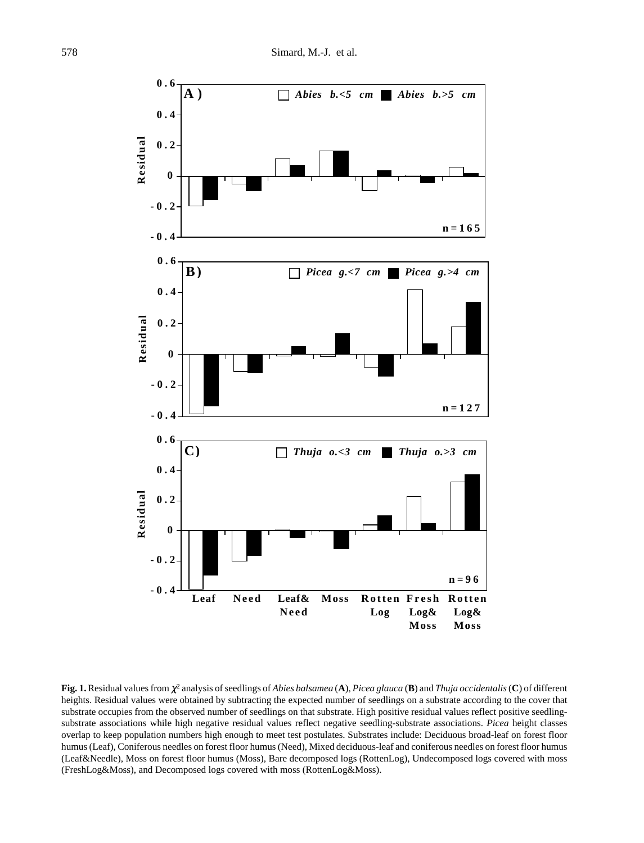

**Fig. 1.** Residual values from  $\chi^2$  analysis of seedlings of *Abies balsamea* (A), *Picea glauca* (B) and *Thuja occidentalis* (C) of different heights. Residual values were obtained by subtracting the expected number of seedlings on a substrate according to the cover that substrate occupies from the observed number of seedlings on that substrate. High positive residual values reflect positive seedlingsubstrate associations while high negative residual values reflect negative seedling-substrate associations. *Picea* height classes overlap to keep population numbers high enough to meet test postulates. Substrates include: Deciduous broad-leaf on forest floor humus (Leaf), Coniferous needles on forest floor humus (Need), Mixed deciduous-leaf and coniferous needles on forest floor humus (Leaf&Needle), Moss on forest floor humus (Moss), Bare decomposed logs (RottenLog), Undecomposed logs covered with moss (FreshLog&Moss), and Decomposed logs covered with moss (RottenLog&Moss).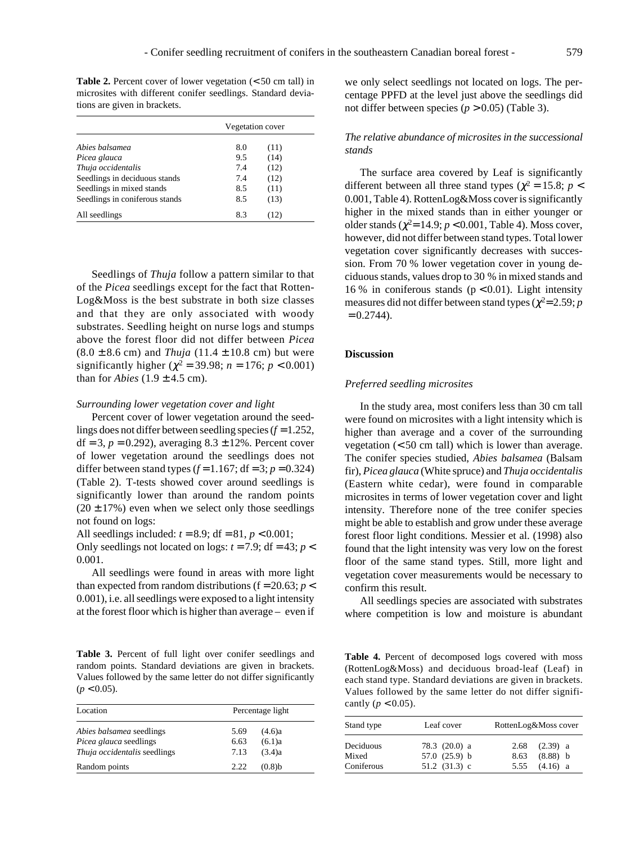**Table 2.** Percent cover of lower vegetation (< 50 cm tall) in microsites with different conifer seedlings. Standard deviations are given in brackets.

|                                | Vegetation cover |      |  |
|--------------------------------|------------------|------|--|
| Abies balsamea                 | 8.0              | (11) |  |
| Picea glauca                   | 9.5              | (14) |  |
| Thuja occidentalis             | 7.4              | (12) |  |
| Seedlings in deciduous stands  | 7.4              | (12) |  |
| Seedlings in mixed stands      | 8.5              | (11) |  |
| Seedlings in coniferous stands | 8.5              | (13) |  |
| All seedlings                  | 8.3              | (12) |  |

Seedlings of *Thuja* follow a pattern similar to that of the *Picea* seedlings except for the fact that Rotten-Log&Moss is the best substrate in both size classes and that they are only associated with woody substrates. Seedling height on nurse logs and stumps above the forest floor did not differ between *Picea*  $(8.0 \pm 8.6 \text{ cm})$  and *Thuja*  $(11.4 \pm 10.8 \text{ cm})$  but were significantly higher ( $\chi^2$  = 39.98; *n* = 176; *p* < 0.001) than for *Abies* (1.9  $\pm$  4.5 cm).

#### *Surrounding lower vegetation cover and light*

Percent cover of lower vegetation around the seedlings does not differ between seedling species (*f* = 1.252,  $df = 3$ ,  $p = 0.292$ ), averaging  $8.3 \pm 12\%$ . Percent cover of lower vegetation around the seedlings does not differ between stand types  $(f=1.167; df=3; p=0.324)$ (Table 2). T-tests showed cover around seedlings is significantly lower than around the random points  $(20 \pm 17\%)$  even when we select only those seedlings not found on logs:

All seedlings included:  $t = 8.9$ ; df = 81,  $p < 0.001$ ;

Only seedlings not located on logs:  $t = 7.9$ ; df = 43;  $p <$ 0.001.

All seedlings were found in areas with more light than expected from random distributions ( $f = 20.63$ ;  $p <$ 0.001), i.e. all seedlings were exposed to a light intensity at the forest floor which is higher than average – even if

**Table 3.** Percent of full light over conifer seedlings and random points. Standard deviations are given in brackets. Values followed by the same letter do not differ significantly  $(p < 0.05)$ .

| Location                        |      | Percentage light |  |
|---------------------------------|------|------------------|--|
| <i>Abies balsamea seedlings</i> | 5.69 | (4.6)a           |  |
| <i>Picea glauca</i> seedlings   | 6.63 | (6.1)a           |  |
| Thuja occidentalis seedlings    | 7.13 | (3.4)a           |  |
| Random points                   | 2.22 | $(0.8)$ b        |  |

we only select seedlings not located on logs. The percentage PPFD at the level just above the seedlings did not differ between species  $(p > 0.05)$  (Table 3).

# *The relative abundance of microsites in the successional stands*

The surface area covered by Leaf is significantly different between all three stand types ( $\chi^2$  = 15.8; *p* < 0.001, Table 4). RottenLog&Moss cover is significantly higher in the mixed stands than in either younger or older stands  $(\chi^2=14.9; p<0.001,$  Table 4). Moss cover, however, did not differ between stand types. Total lower vegetation cover significantly decreases with succession. From 70 % lower vegetation cover in young deciduous stands, values drop to 30 % in mixed stands and 16 % in coniferous stands ( $p < 0.01$ ). Light intensity measures did not differ between stand types ( $\chi^2$  = 2.59; *p*  $= 0.2744$ .

# **Discussion**

#### *Preferred seedling microsites*

In the study area, most conifers less than 30 cm tall were found on microsites with a light intensity which is higher than average and a cover of the surrounding vegetation (< 50 cm tall) which is lower than average. The conifer species studied, *Abies balsamea* (Balsam fir), *Picea glauca* (White spruce) and *Thuja occidentalis* (Eastern white cedar), were found in comparable microsites in terms of lower vegetation cover and light intensity. Therefore none of the tree conifer species might be able to establish and grow under these average forest floor light conditions. Messier et al. (1998) also found that the light intensity was very low on the forest floor of the same stand types. Still, more light and vegetation cover measurements would be necessary to confirm this result.

All seedlings species are associated with substrates where competition is low and moisture is abundant

**Table 4.** Percent of decomposed logs covered with moss (RottenLog&Moss) and deciduous broad-leaf (Leaf) in each stand type. Standard deviations are given in brackets. Values followed by the same letter do not differ significantly ( $p < 0.05$ ).

| Stand type | Leaf cover        | RottenLog&Moss cover |
|------------|-------------------|----------------------|
| Deciduous  | 78.3 (20.0) a     | $(2.39)$ a<br>2.68   |
| Mixed      | 57.0 $(25.9)$ b   | (8.88) b<br>8.63     |
| Coniferous | $51.2$ $(31.3)$ c | $(4.16)$ a<br>5.55   |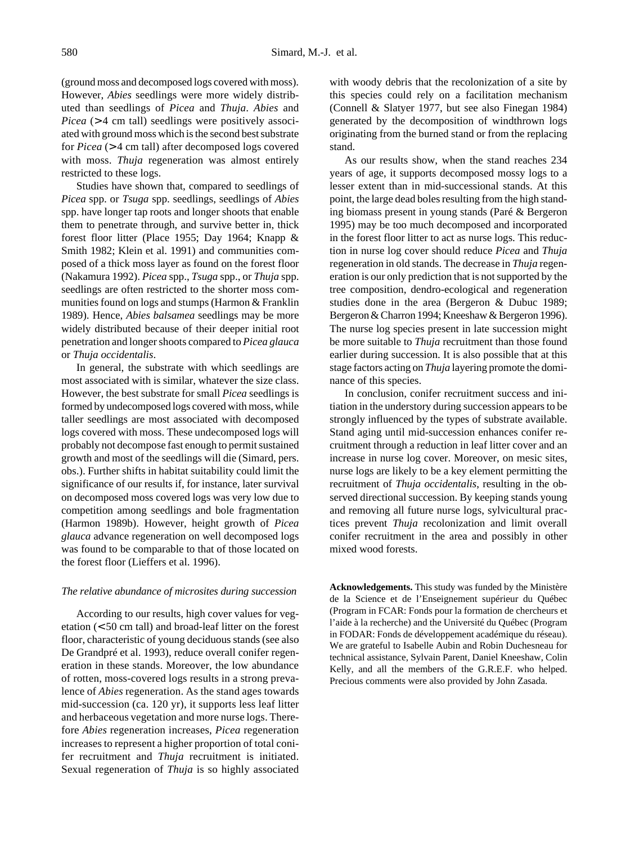(ground moss and decomposed logs covered with moss). However, *Abies* seedlings were more widely distributed than seedlings of *Picea* and *Thuja*. *Abies* and *Picea* (> 4 cm tall) seedlings were positively associated with ground moss which is the second best substrate for *Picea* (> 4 cm tall) after decomposed logs covered with moss. *Thuja* regeneration was almost entirely restricted to these logs.

Studies have shown that, compared to seedlings of *Picea* spp. or *Tsuga* spp. seedlings, seedlings of *Abies* spp. have longer tap roots and longer shoots that enable them to penetrate through, and survive better in, thick forest floor litter (Place 1955; Day 1964; Knapp & Smith 1982; Klein et al. 1991) and communities composed of a thick moss layer as found on the forest floor (Nakamura 1992). *Picea* spp., *Tsuga* spp., or *Thuja* spp. seedlings are often restricted to the shorter moss communities found on logs and stumps (Harmon & Franklin 1989). Hence, *Abies balsamea* seedlings may be more widely distributed because of their deeper initial root penetration and longer shoots compared to *Picea glauca* or *Thuja occidentalis*.

In general, the substrate with which seedlings are most associated with is similar, whatever the size class. However, the best substrate for small *Picea* seedlings is formed by undecomposed logs covered with moss, while taller seedlings are most associated with decomposed logs covered with moss. These undecomposed logs will probably not decompose fast enough to permit sustained growth and most of the seedlings will die (Simard, pers. obs.). Further shifts in habitat suitability could limit the significance of our results if, for instance, later survival on decomposed moss covered logs was very low due to competition among seedlings and bole fragmentation (Harmon 1989b). However, height growth of *Picea glauca* advance regeneration on well decomposed logs was found to be comparable to that of those located on the forest floor (Lieffers et al. 1996).

#### *The relative abundance of microsites during succession*

According to our results, high cover values for vegetation (< 50 cm tall) and broad-leaf litter on the forest floor, characteristic of young deciduous stands (see also De Grandpré et al. 1993), reduce overall conifer regeneration in these stands. Moreover, the low abundance of rotten, moss-covered logs results in a strong prevalence of *Abies* regeneration. As the stand ages towards mid-succession (ca. 120 yr), it supports less leaf litter and herbaceous vegetation and more nurse logs. Therefore *Abies* regeneration increases, *Picea* regeneration increases to represent a higher proportion of total conifer recruitment and *Thuja* recruitment is initiated. Sexual regeneration of *Thuja* is so highly associated

with woody debris that the recolonization of a site by this species could rely on a facilitation mechanism (Connell & Slatyer 1977, but see also Finegan 1984) generated by the decomposition of windthrown logs originating from the burned stand or from the replacing stand.

As our results show, when the stand reaches 234 years of age, it supports decomposed mossy logs to a lesser extent than in mid-successional stands. At this point, the large dead boles resulting from the high standing biomass present in young stands (Paré & Bergeron 1995) may be too much decomposed and incorporated in the forest floor litter to act as nurse logs. This reduction in nurse log cover should reduce *Picea* and *Thuja* regeneration in old stands. The decrease in *Thuja* regeneration is our only prediction that is not supported by the tree composition, dendro-ecological and regeneration studies done in the area (Bergeron & Dubuc 1989; Bergeron & Charron 1994; Kneeshaw & Bergeron 1996). The nurse log species present in late succession might be more suitable to *Thuja* recruitment than those found earlier during succession. It is also possible that at this stage factors acting on *Thuja* layering promote the dominance of this species.

In conclusion, conifer recruitment success and initiation in the understory during succession appears to be strongly influenced by the types of substrate available. Stand aging until mid-succession enhances conifer recruitment through a reduction in leaf litter cover and an increase in nurse log cover. Moreover, on mesic sites, nurse logs are likely to be a key element permitting the recruitment of *Thuja occidentalis*, resulting in the observed directional succession. By keeping stands young and removing all future nurse logs, sylvicultural practices prevent *Thuja* recolonization and limit overall conifer recruitment in the area and possibly in other mixed wood forests.

**Acknowledgements.** This study was funded by the Ministère de la Science et de l'Enseignement supérieur du Québec (Program in FCAR: Fonds pour la formation de chercheurs et l'aide à la recherche) and the Université du Québec (Program in FODAR: Fonds de développement académique du réseau). We are grateful to Isabelle Aubin and Robin Duchesneau for technical assistance, Sylvain Parent, Daniel Kneeshaw, Colin Kelly, and all the members of the G.R.E.F. who helped. Precious comments were also provided by John Zasada.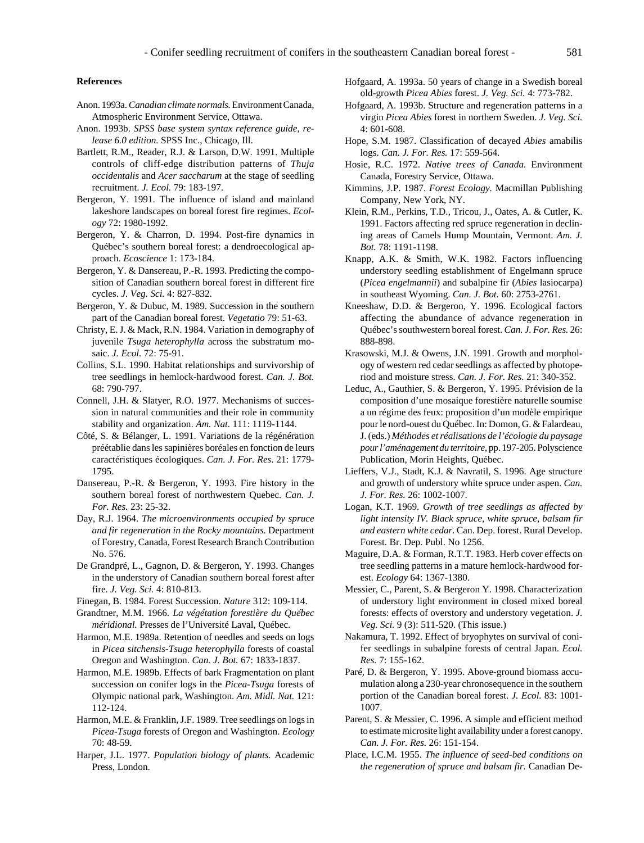#### **References**

- Anon. 1993a. *Canadian climate normals.* Environment Canada, Atmospheric Environment Service, Ottawa.
- Anon. 1993b. *SPSS base system syntax reference guide, release 6.0 edition.* SPSS Inc., Chicago, Ill.
- Bartlett, R.M., Reader, R.J. & Larson, D.W. 1991. Multiple controls of cliff-edge distribution patterns of *Thuja occidentalis* and *Acer saccharum* at the stage of seedling recruitment. *J. Ecol.* 79: 183-197.
- Bergeron, Y. 1991. The influence of island and mainland lakeshore landscapes on boreal forest fire regimes. *Ecology* 72: 1980-1992.
- Bergeron, Y. & Charron, D. 1994. Post-fire dynamics in Québec's southern boreal forest: a dendroecological approach. *Ecoscience* 1: 173-184.
- Bergeron, Y. & Dansereau, P.-R. 1993. Predicting the composition of Canadian southern boreal forest in different fire cycles. *J. Veg. Sci.* 4: 827-832.
- Bergeron, Y. & Dubuc, M. 1989. Succession in the southern part of the Canadian boreal forest. *Vegetatio* 79: 51-63.
- Christy, E. J. & Mack, R.N. 1984. Variation in demography of juvenile *Tsuga heterophylla* across the substratum mosaic. *J. Ecol.* 72: 75-91.
- Collins, S.L. 1990. Habitat relationships and survivorship of tree seedlings in hemlock-hardwood forest. *Can. J. Bot.* 68: 790-797.
- Connell, J.H. & Slatyer, R.O. 1977. Mechanisms of succession in natural communities and their role in community stability and organization. *Am. Nat.* 111: 1119-1144.
- Côté, S. & Bélanger, L. 1991. Variations de la régénération préétablie dans les sapinières boréales en fonction de leurs caractéristiques écologiques. *Can. J. For. Res*. 21: 1779- 1795.
- Dansereau, P.-R. & Bergeron, Y. 1993. Fire history in the southern boreal forest of northwestern Quebec. *Can. J. For. Res.* 23: 25-32.
- Day, R.J. 1964. *The microenvironments occupied by spruce and fir regeneration in the Rocky mountains.* Department of Forestry, Canada, Forest Research Branch Contribution No. 576.
- De Grandpré, L., Gagnon, D. & Bergeron, Y. 1993. Changes in the understory of Canadian southern boreal forest after fire. *J. Veg. Sci.* 4: 810-813.
- Finegan, B. 1984. Forest Succession. *Nature* 312: 109-114.
- Grandtner, M.M. 1966. *La végétation forestière du Québec méridional.* Presses de l'Université Laval, Québec.
- Harmon, M.E. 1989a. Retention of needles and seeds on logs in *Picea sitchensis-Tsuga heterophylla* forests of coastal Oregon and Washington. *Can. J. Bot.* 67: 1833-1837.
- Harmon, M.E. 1989b. Effects of bark Fragmentation on plant succession on conifer logs in the *Picea*-*Tsuga* forests of Olympic national park, Washington. *Am. Midl. Nat.* 121: 112-124.
- Harmon, M.E. & Franklin, J.F. 1989. Tree seedlings on logs in *Picea*-*Tsuga* forests of Oregon and Washington. *Ecology* 70: 48-59.
- Harper, J.L. 1977. *Population biology of plants.* Academic Press, London.
- Hofgaard, A. 1993a. 50 years of change in a Swedish boreal old-growth *Picea Abies* forest. *J. Veg. Sci.* 4: 773-782.
- Hofgaard, A. 1993b. Structure and regeneration patterns in a virgin *Picea Abies* forest in northern Sweden. *J. Veg. Sci.* 4: 601-608.
- Hope, S.M. 1987. Classification of decayed *Abies* amabilis logs. *Can. J. For. Res.* 17: 559-564.
- Hosie, R.C. 1972. *Native trees of Canada.* Environment Canada, Forestry Service, Ottawa.
- Kimmins, J.P. 1987. *Forest Ecology.* Macmillan Publishing Company, New York, NY.
- Klein, R.M., Perkins, T.D., Tricou, J., Oates, A. & Cutler, K. 1991. Factors affecting red spruce regeneration in declining areas of Camels Hump Mountain, Vermont. *Am. J. Bot.* 78: 1191-1198.
- Knapp, A.K. & Smith, W.K. 1982. Factors influencing understory seedling establishment of Engelmann spruce (*Picea engelmannii*) and subalpine fir (*Abies* lasiocarpa) in southeast Wyoming. *Can. J. Bot.* 60: 2753-2761.
- Kneeshaw, D.D. & Bergeron, Y. 1996. Ecological factors affecting the abundance of advance regeneration in Québec's southwestern boreal forest. *Can. J. For. Res.* 26: 888-898.
- Krasowski, M.J. & Owens, J.N. 1991. Growth and morphology of western red cedar seedlings as affected by photoperiod and moisture stress. *Can. J. For. Res.* 21: 340-352.
- Leduc, A., Gauthier, S. & Bergeron, Y. 1995. Prévision de la composition d'une mosaique forestière naturelle soumise a un régime des feux: proposition d'un modèle empirique pour le nord-ouest du Québec. In: Domon, G. & Falardeau, J. (eds.) *Méthodes et réalisations de l'écologie du paysage pour l'aménagement du territoire*, pp. 197-205. Polyscience Publication, Morin Heights, Québec.
- Lieffers, V.J., Stadt, K.J. & Navratil, S. 1996. Age structure and growth of understory white spruce under aspen. *Can. J. For. Res.* 26: 1002-1007.
- Logan, K.T. 1969. *Growth of tree seedlings as affected by light intensity IV. Black spruce, white spruce, balsam fir and eastern white cedar.* Can. Dep. forest. Rural Develop. Forest. Br. Dep. Publ. No 1256.
- Maguire, D.A. & Forman, R.T.T. 1983. Herb cover effects on tree seedling patterns in a mature hemlock-hardwood forest. *Ecology* 64: 1367-1380.
- Messier, C., Parent, S. & Bergeron Y. 1998. Characterization of understory light environment in closed mixed boreal forests: effects of overstory and understory vegetation. *J. Veg. Sci.* 9 (3): 511-520. (This issue.)
- Nakamura, T. 1992. Effect of bryophytes on survival of conifer seedlings in subalpine forests of central Japan. *Ecol. Res.* 7: 155-162.
- Paré, D. & Bergeron, Y. 1995. Above-ground biomass accumulation along a 230-year chronosequence in the southern portion of the Canadian boreal forest. *J. Ecol.* 83: 1001- 1007.
- Parent, S. & Messier, C. 1996. A simple and efficient method to estimate microsite light availability under a forest canopy. *Can. J. For. Res.* 26: 151-154.
- Place, I.C.M. 1955. *The influence of seed-bed conditions on the regeneration of spruce and balsam fir.* Canadian De-